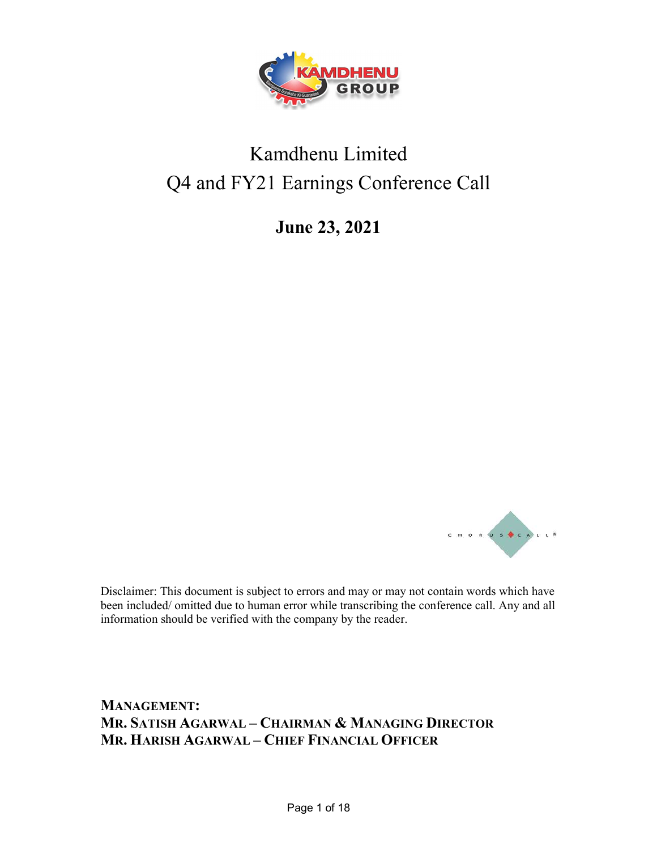

# Kamdhenu Limited Q4 and FY21 Earnings Conference Call

June 23, 2021



 Disclaimer: This document is subject to errors and may or may not contain words which have been included/ omitted due to human error while transcribing the conference call. Any and all information should be verified with the company by the reader.

MANAGEMENT: MR. SATISH AGARWAL – CHAIRMAN & MANAGING DIRECTOR MR. HARISH AGARWAL – CHIEF FINANCIAL OFFICER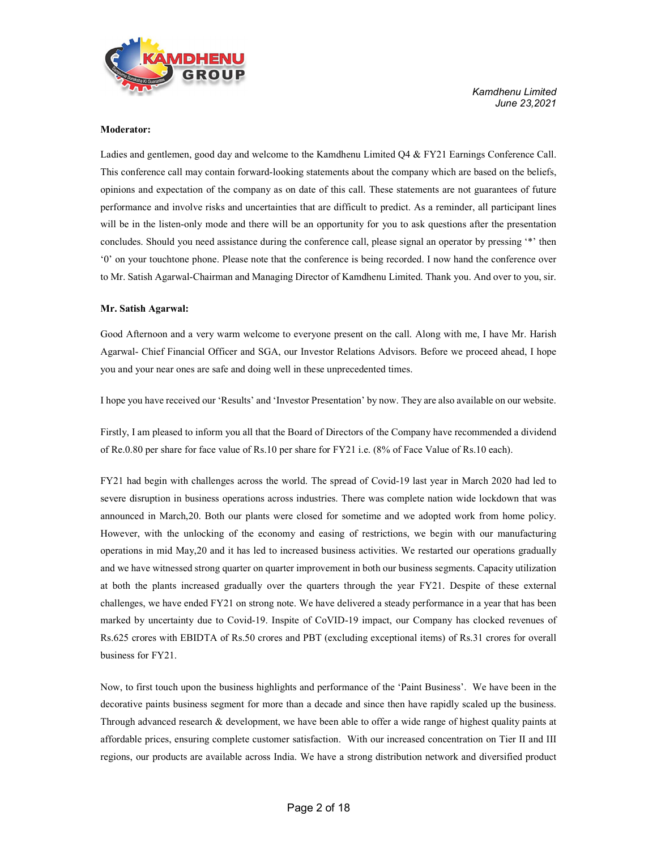

Moderator:<br>Ladies and gentlemen, good day and welcome to the Kamdhenu Limited Q4 & FY21 Earnings Conference Call. This conference call may contain forward-looking statements about the company which are based on the beliefs, opinions and expectation of the company as on date of this call. These statements are not guarantees of future performance and involve risks and uncertainties that are difficult to predict. As a reminder, all participant lines will be in the listen-only mode and there will be an opportunity for you to ask questions after the presentation concludes. Should you need assistance during the conference call, please signal an operator by pressing '\*' then '0' on your touchtone phone. Please note that the conference is being recorded. I now hand the conference over to Mr. Satish Agarwal-Chairman and Managing Director of Kamdhenu Limited. Thank you. And over to you, sir.

Mr. Satish Agarwal:<br>Good Afternoon and a very warm welcome to everyone present on the call. Along with me, I have Mr. Harish Agarwal- Chief Financial Officer and SGA, our Investor Relations Advisors. Before we proceed ahead, I hope you and your near ones are safe and doing well in these unprecedented times.

I hope you have received our 'Results' and 'Investor Presentation' by now. They are also available on our website.

Firstly, I am pleased to inform you all that the Board of Directors of the Company have recommended a dividend of Re.0.80 per share for face value of Rs.10 per share for FY21 i.e. (8% of Face Value of Rs.10 each).

FY21 had begin with challenges across the world. The spread of Covid-19 last year in March 2020 had led to severe disruption in business operations across industries. There was complete nation wide lockdown that was announced in March,20. Both our plants were closed for sometime and we adopted work from home policy. However, with the unlocking of the economy and easing of restrictions, we begin with our manufacturing operations in mid May,20 and it has led to increased business activities. We restarted our operations gradually and we have witnessed strong quarter on quarter improvement in both our business segments. Capacity utilization at both the plants increased gradually over the quarters through the year FY21. Despite of these external challenges, we have ended FY21 on strong note. We have delivered a steady performance in a year that has been marked by uncertainty due to Covid-19. Inspite of CoVID-19 impact, our Company has clocked revenues of Rs.625 crores with EBIDTA of Rs.50 crores and PBT (excluding exceptional items) of Rs.31 crores for overall business for FY21.

Now, to first touch upon the business highlights and performance of the 'Paint Business'. We have been in the decorative paints business segment for more than a decade and since then have rapidly scaled up the business. Through advanced research & development, we have been able to offer a wide range of highest quality paints at affordable prices, ensuring complete customer satisfaction. With our increased concentration on Tier II and III regions, our products are available across India. We have a strong distribution network and diversified product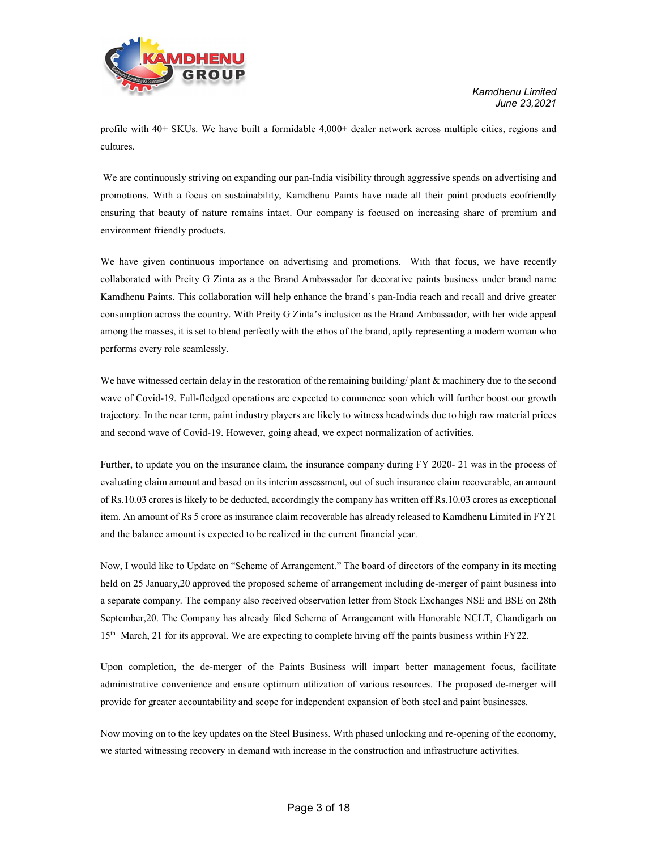

profile with 40+ SKUs. We have built a formidable 4,000+ dealer network across multiple cities, regions and cultures.

 We are continuously striving on expanding our pan-India visibility through aggressive spends on advertising and promotions. With a focus on sustainability, Kamdhenu Paints have made all their paint products ecofriendly ensuring that beauty of nature remains intact. Our company is focused on increasing share of premium and environment friendly products.

We have given continuous importance on advertising and promotions. With that focus, we have recently collaborated with Preity G Zinta as a the Brand Ambassador for decorative paints business under brand name Kamdhenu Paints. This collaboration will help enhance the brand's pan-India reach and recall and drive greater consumption across the country. With Preity G Zinta's inclusion as the Brand Ambassador, with her wide appeal among the masses, it is set to blend perfectly with the ethos of the brand, aptly representing a modern woman who performs every role seamlessly.

We have witnessed certain delay in the restoration of the remaining building/ plant & machinery due to the second wave of Covid-19. Full-fledged operations are expected to commence soon which will further boost our growth trajectory. In the near term, paint industry players are likely to witness headwinds due to high raw material prices and second wave of Covid-19. However, going ahead, we expect normalization of activities.

Further, to update you on the insurance claim, the insurance company during FY 2020- 21 was in the process of evaluating claim amount and based on its interim assessment, out of such insurance claim recoverable, an amount of Rs.10.03 crores is likely to be deducted, accordingly the company has written off Rs.10.03 crores as exceptional item. An amount of Rs 5 crore as insurance claim recoverable has already released to Kamdhenu Limited in FY21 and the balance amount is expected to be realized in the current financial year.

Now, I would like to Update on "Scheme of Arrangement." The board of directors of the company in its meeting held on 25 January,20 approved the proposed scheme of arrangement including de-merger of paint business into a separate company. The company also received observation letter from Stock Exchanges NSE and BSE on 28th September,20. The Company has already filed Scheme of Arrangement with Honorable NCLT, Chandigarh on 15th March, 21 for its approval. We are expecting to complete hiving off the paints business within FY22.

Upon completion, the de-merger of the Paints Business will impart better management focus, facilitate administrative convenience and ensure optimum utilization of various resources. The proposed de-merger will provide for greater accountability and scope for independent expansion of both steel and paint businesses.

Now moving on to the key updates on the Steel Business. With phased unlocking and re-opening of the economy, we started witnessing recovery in demand with increase in the construction and infrastructure activities.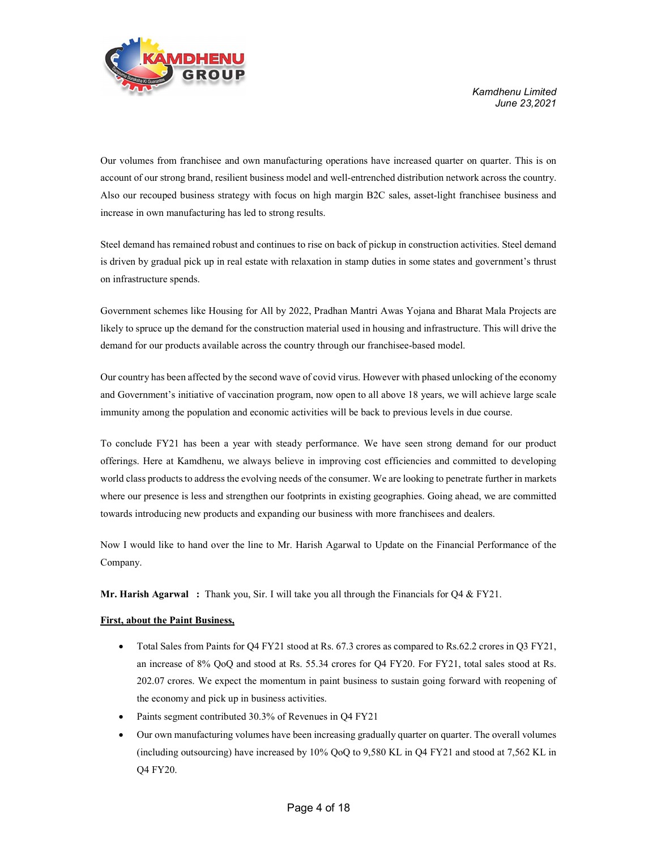

Our volumes from franchisee and own manufacturing operations have increased quarter on quarter. This is on account of our strong brand, resilient business model and well-entrenched distribution network across the country. Also our recouped business strategy with focus on high margin B2C sales, asset-light franchisee business and increase in own manufacturing has led to strong results.

Steel demand has remained robust and continues to rise on back of pickup in construction activities. Steel demand is driven by gradual pick up in real estate with relaxation in stamp duties in some states and government's thrust on infrastructure spends.

Government schemes like Housing for All by 2022, Pradhan Mantri Awas Yojana and Bharat Mala Projects are likely to spruce up the demand for the construction material used in housing and infrastructure. This will drive the demand for our products available across the country through our franchisee-based model.

Our country has been affected by the second wave of covid virus. However with phased unlocking of the economy and Government's initiative of vaccination program, now open to all above 18 years, we will achieve large scale immunity among the population and economic activities will be back to previous levels in due course.

To conclude FY21 has been a year with steady performance. We have seen strong demand for our product offerings. Here at Kamdhenu, we always believe in improving cost efficiencies and committed to developing world class products to address the evolving needs of the consumer. We are looking to penetrate further in markets where our presence is less and strengthen our footprints in existing geographies. Going ahead, we are committed towards introducing new products and expanding our business with more franchisees and dealers.

Now I would like to hand over the line to Mr. Harish Agarwal to Update on the Financial Performance of the Company.

**Mr. Harish Agarwal** : Thank you, Sir. I will take you all through the Financials for  $Q4 \& \text{FY21}$ .

# First, about the Paint Business,

- Total Sales from Paints for Q4 FY21 stood at Rs. 67.3 crores as compared to Rs.62.2 crores in Q3 FY21, an increase of 8% QoQ and stood at Rs. 55.34 crores for Q4 FY20. For FY21, total sales stood at Rs. 202.07 crores. We expect the momentum in paint business to sustain going forward with reopening of the economy and pick up in business activities.
- Paints segment contributed 30.3% of Revenues in Q4 FY21
- Our own manufacturing volumes have been increasing gradually quarter on quarter. The overall volumes (including outsourcing) have increased by 10% QoQ to 9,580 KL in Q4 FY21 and stood at 7,562 KL in Q4 FY20.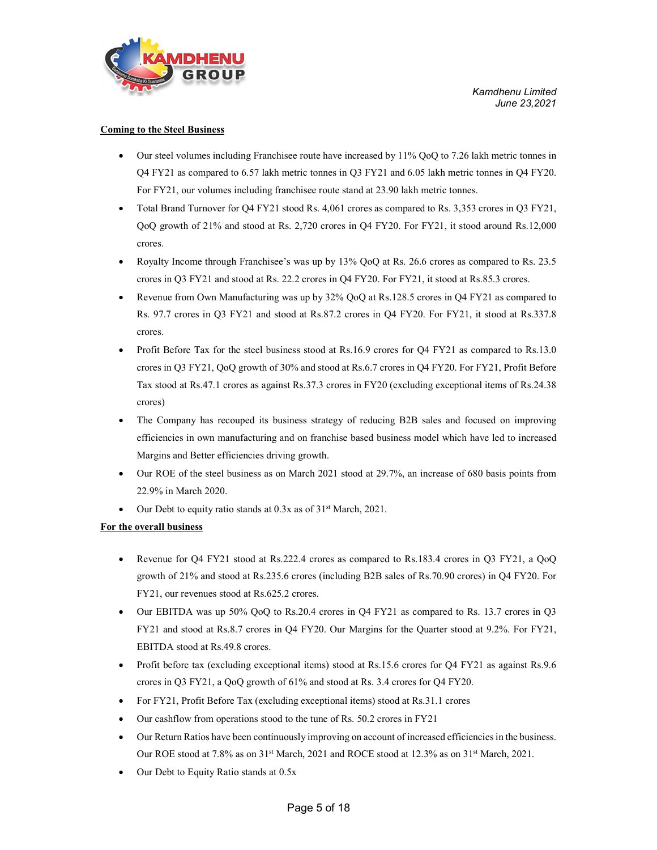

# Coming to the Steel Business

- Our steel volumes including Franchisee route have increased by 11% QoQ to 7.26 lakh metric tonnes in Q4 FY21 as compared to 6.57 lakh metric tonnes in Q3 FY21 and 6.05 lakh metric tonnes in Q4 FY20. For FY21, our volumes including franchisee route stand at 23.90 lakh metric tonnes.
- Total Brand Turnover for Q4 FY21 stood Rs. 4,061 crores as compared to Rs. 3,353 crores in Q3 FY21, QoQ growth of 21% and stood at Rs. 2,720 crores in Q4 FY20. For FY21, it stood around Rs.12,000 crores.
- Royalty Income through Franchisee's was up by 13% QoQ at Rs. 26.6 crores as compared to Rs. 23.5 crores in Q3 FY21 and stood at Rs. 22.2 crores in Q4 FY20. For FY21, it stood at Rs.85.3 crores.
- Revenue from Own Manufacturing was up by 32% QoQ at Rs.128.5 crores in Q4 FY21 as compared to Rs. 97.7 crores in Q3 FY21 and stood at Rs.87.2 crores in Q4 FY20. For FY21, it stood at Rs.337.8 crores.
- Profit Before Tax for the steel business stood at Rs.16.9 crores for Q4 FY21 as compared to Rs.13.0 crores in Q3 FY21, QoQ growth of 30% and stood at Rs.6.7 crores in Q4 FY20. For FY21, Profit Before Tax stood at Rs.47.1 crores as against Rs.37.3 crores in FY20 (excluding exceptional items of Rs.24.38 crores)
- The Company has recouped its business strategy of reducing B2B sales and focused on improving efficiencies in own manufacturing and on franchise based business model which have led to increased Margins and Better efficiencies driving growth.
- Our ROE of the steel business as on March 2021 stood at 29.7%, an increase of 680 basis points from 22.9% in March 2020.
- Our Debt to equity ratio stands at 0.3x as of 31st March, 2021.

# For the overall business

- Revenue for Q4 FY21 stood at Rs.222.4 crores as compared to Rs.183.4 crores in Q3 FY21, a QoQ growth of 21% and stood at Rs.235.6 crores (including B2B sales of Rs.70.90 crores) in Q4 FY20. For FY21, our revenues stood at Rs.625.2 crores.
- Our EBITDA was up 50% QoQ to Rs.20.4 crores in Q4 FY21 as compared to Rs. 13.7 crores in Q3 FY21 and stood at Rs.8.7 crores in Q4 FY20. Our Margins for the Quarter stood at 9.2%. For FY21, EBITDA stood at Rs.49.8 crores.
- Profit before tax (excluding exceptional items) stood at Rs.15.6 crores for Q4 FY21 as against Rs.9.6 crores in Q3 FY21, a QoQ growth of 61% and stood at Rs. 3.4 crores for Q4 FY20.
- For FY21, Profit Before Tax (excluding exceptional items) stood at Rs.31.1 crores
- Our cashflow from operations stood to the tune of Rs. 50.2 crores in FY21
- Our Return Ratios have been continuously improving on account of increased efficiencies in the business. Our ROE stood at 7.8% as on 31<sup>st</sup> March, 2021 and ROCE stood at 12.3% as on 31<sup>st</sup> March, 2021.
- Our Debt to Equity Ratio stands at 0.5x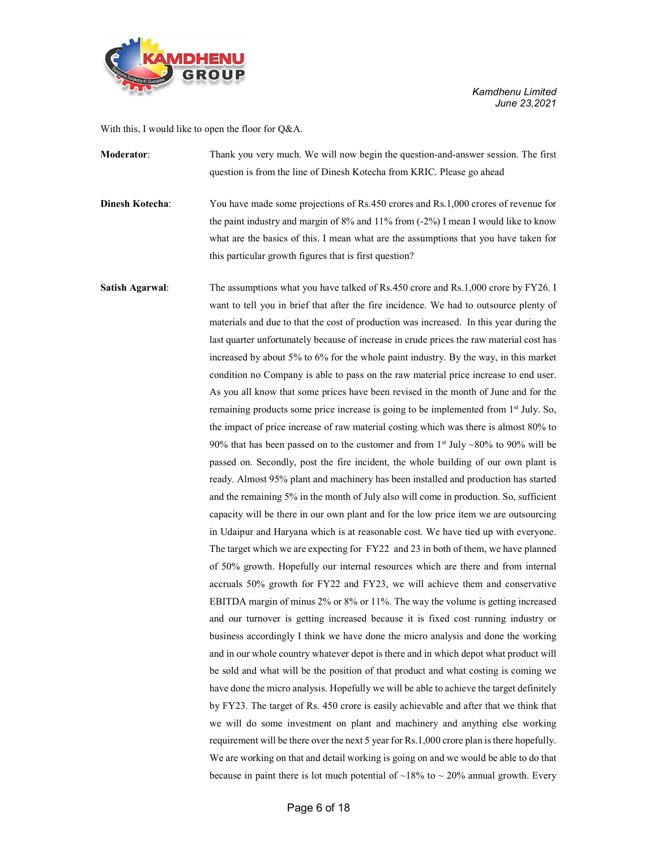

With this, I would like to open the floor for Q&A.

Moderator: Thank you very much. We will now begin the question-and-answer session. The first question is from the line of Dinesh Kotecha from KRIC. Please go ahead

**Dinesh Kotecha:** You have made some projections of Rs.450 crores and Rs.1,000 crores of revenue for the paint industry and margin of 8% and 11% from (-2%) I mean I would like to know what are the basics of this. I mean what are the assumptions that you have taken for this particular growth figures that is first question?

Satish Agarwal: The assumptions what you have talked of Rs.450 crore and Rs.1,000 crore by FY26. I want to tell you in brief that after the fire incidence. We had to outsource plenty of materials and due to that the cost of production was increased. In this year during the last quarter unfortunately because of increase in crude prices the raw material cost has increased by about 5% to 6% for the whole paint industry. By the way, in this market condition no Company is able to pass on the raw material price increase to end user. As you all know that some prices have been revised in the month of June and for the remaining products some price increase is going to be implemented from 1<sup>st</sup> July. So, the impact of price increase of raw material costing which was there is almost 80% to 90% that has been passed on to the customer and from  $1<sup>st</sup>$  July ~80% to 90% will be passed on. Secondly, post the fire incident, the whole building of our own plant is ready. Almost 95% plant and machinery has been installed and production has started and the remaining 5% in the month of July also will come in production. So, sufficient capacity will be there in our own plant and for the low price item we are outsourcing in Udaipur and Haryana which is at reasonable cost. We have tied up with everyone. The target which we are expecting for FY22 and 23 in both of them, we have planned of 50% growth. Hopefully our internal resources which are there and from internal accruals 50% growth for FY22 and FY23, we will achieve them and conservative EBITDA margin of minus 2% or 8% or 11%. The way the volume is getting increased and our turnover is getting increased because it is fixed cost running industry or business accordingly I think we have done the micro analysis and done the working and in our whole country whatever depot is there and in which depot what product will be sold and what will be the position of that product and what costing is coming we have done the micro analysis. Hopefully we will be able to achieve the target definitely by FY23. The target of Rs. 450 crore is easily achievable and after that we think that we will do some investment on plant and machinery and anything else working requirement will be there over the next 5 year for Rs.1,000 crore plan is there hopefully. We are working on that and detail working is going on and we would be able to do that because in paint there is lot much potential of  $\sim$ 18% to  $\sim$  20% annual growth. Every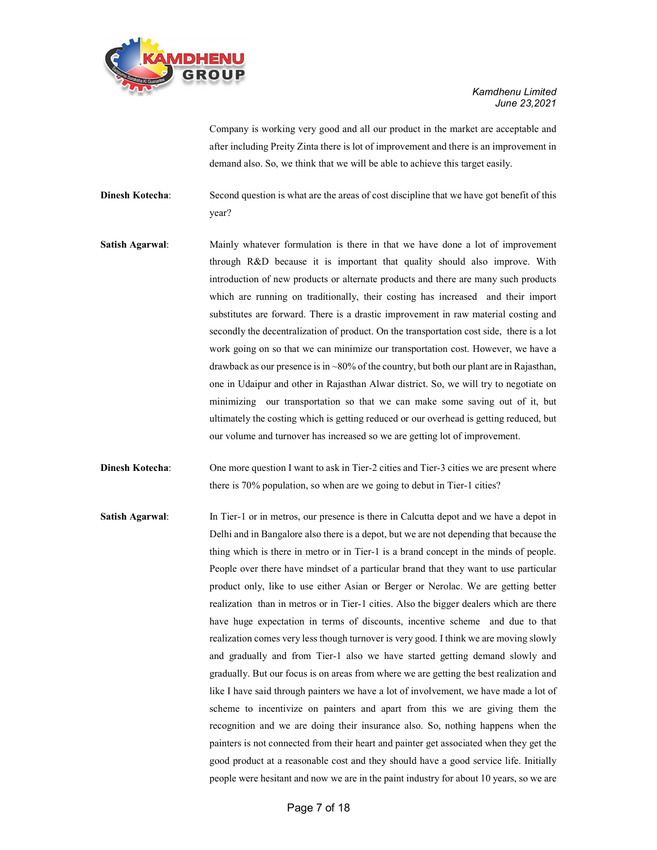

Company is working very good and all our product in the market are acceptable and after including Preity Zinta there is lot of improvement and there is an improvement in demand also. So, we think that we will be able to achieve this target easily.

Dinesh Kotecha: Second question is what are the areas of cost discipline that we have got benefit of this year?

- Satish Agarwal: Mainly whatever formulation is there in that we have done a lot of improvement through R&D because it is important that quality should also improve. With introduction of new products or alternate products and there are many such products which are running on traditionally, their costing has increased and their import substitutes are forward. There is a drastic improvement in raw material costing and secondly the decentralization of product. On the transportation cost side, there is a lot work going on so that we can minimize our transportation cost. However, we have a drawback as our presence is in ~80% of the country, but both our plant are in Rajasthan, one in Udaipur and other in Rajasthan Alwar district. So, we will try to negotiate on minimizing our transportation so that we can make some saving out of it, but ultimately the costing which is getting reduced or our overhead is getting reduced, but our volume and turnover has increased so we are getting lot of improvement.
- **Dinesh Kotecha:** One more question I want to ask in Tier-2 cities and Tier-3 cities we are present where there is 70% population, so when are we going to debut in Tier-1 cities?
- Satish Agarwal: In Tier-1 or in metros, our presence is there in Calcutta depot and we have a depot in Delhi and in Bangalore also there is a depot, but we are not depending that because the thing which is there in metro or in Tier-1 is a brand concept in the minds of people. People over there have mindset of a particular brand that they want to use particular product only, like to use either Asian or Berger or Nerolac. We are getting better realization than in metros or in Tier-1 cities. Also the bigger dealers which are there have huge expectation in terms of discounts, incentive scheme and due to that realization comes very less though turnover is very good. I think we are moving slowly and gradually and from Tier-1 also we have started getting demand slowly and gradually. But our focus is on areas from where we are getting the best realization and like I have said through painters we have a lot of involvement, we have made a lot of scheme to incentivize on painters and apart from this we are giving them the recognition and we are doing their insurance also. So, nothing happens when the painters is not connected from their heart and painter get associated when they get the good product at a reasonable cost and they should have a good service life. Initially people were hesitant and now we are in the paint industry for about 10 years, so we are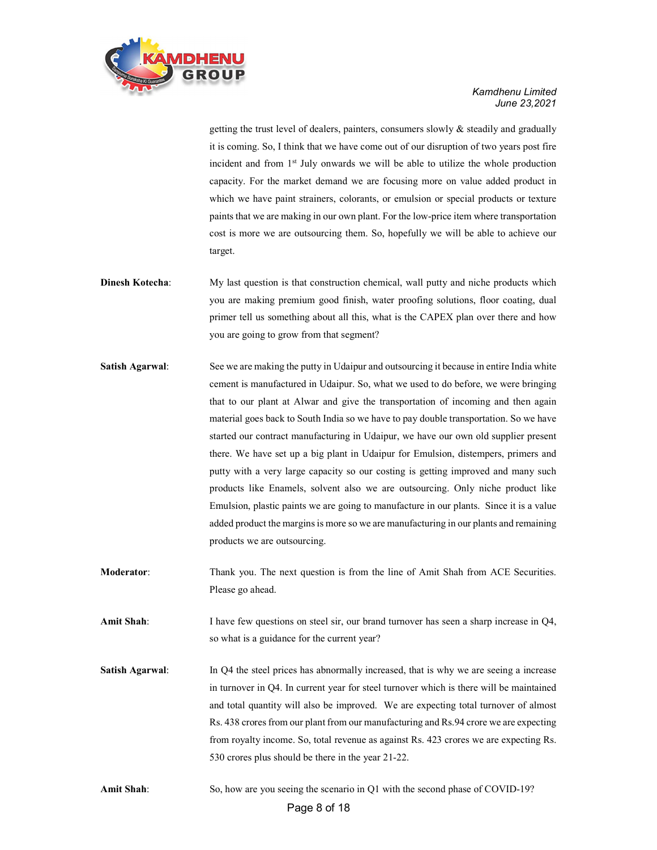

getting the trust level of dealers, painters, consumers slowly & steadily and gradually it is coming. So, I think that we have come out of our disruption of two years post fire incident and from  $1<sup>st</sup>$  July onwards we will be able to utilize the whole production capacity. For the market demand we are focusing more on value added product in which we have paint strainers, colorants, or emulsion or special products or texture paints that we are making in our own plant. For the low-price item where transportation cost is more we are outsourcing them. So, hopefully we will be able to achieve our target.

- Dinesh Kotecha: My last question is that construction chemical, wall putty and niche products which you are making premium good finish, water proofing solutions, floor coating, dual primer tell us something about all this, what is the CAPEX plan over there and how you are going to grow from that segment?
- Satish Agarwal: See we are making the putty in Udaipur and outsourcing it because in entire India white cement is manufactured in Udaipur. So, what we used to do before, we were bringing that to our plant at Alwar and give the transportation of incoming and then again material goes back to South India so we have to pay double transportation. So we have started our contract manufacturing in Udaipur, we have our own old supplier present there. We have set up a big plant in Udaipur for Emulsion, distempers, primers and putty with a very large capacity so our costing is getting improved and many such products like Enamels, solvent also we are outsourcing. Only niche product like Emulsion, plastic paints we are going to manufacture in our plants. Since it is a value added product the margins is more so we are manufacturing in our plants and remaining products we are outsourcing.
- Moderator: Thank you. The next question is from the line of Amit Shah from ACE Securities. Please go ahead.

Amit Shah: I have few questions on steel sir, our brand turnover has seen a sharp increase in Q4, so what is a guidance for the current year?

Satish Agarwal: In Q4 the steel prices has abnormally increased, that is why we are seeing a increase in turnover in Q4. In current year for steel turnover which is there will be maintained and total quantity will also be improved. We are expecting total turnover of almost Rs. 438 crores from our plant from our manufacturing and Rs.94 crore we are expecting from royalty income. So, total revenue as against Rs. 423 crores we are expecting Rs. 530 crores plus should be there in the year 21-22.

Amit Shah: So, how are you seeing the scenario in Q1 with the second phase of COVID-19?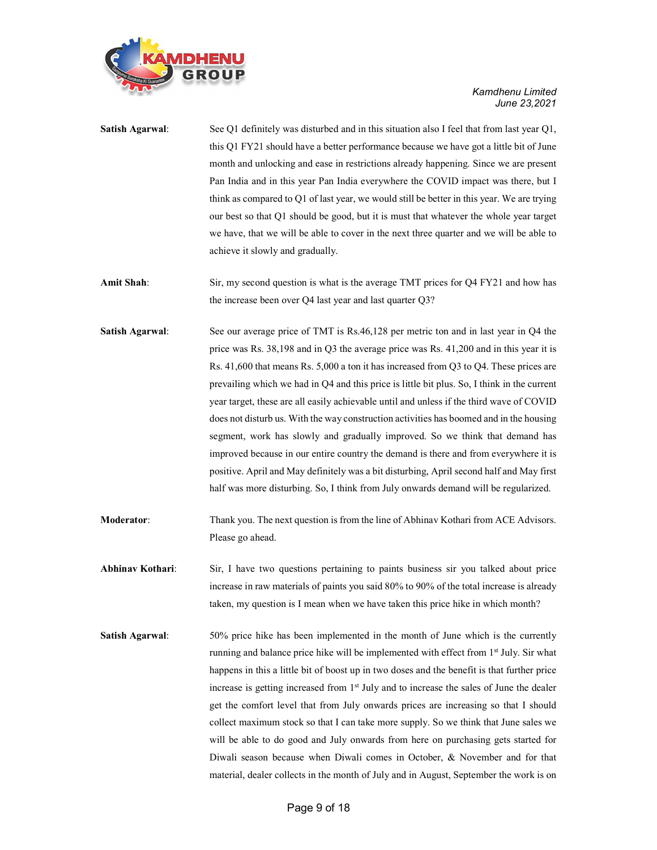

| <b>Satish Agarwal:</b> | See Q1 definitely was disturbed and in this situation also I feel that from last year Q1,<br>this Q1 FY21 should have a better performance because we have got a little bit of June<br>month and unlocking and ease in restrictions already happening. Since we are present<br>Pan India and in this year Pan India everywhere the COVID impact was there, but I<br>think as compared to Q1 of last year, we would still be better in this year. We are trying<br>our best so that Q1 should be good, but it is must that whatever the whole year target<br>we have, that we will be able to cover in the next three quarter and we will be able to                                                                                                                                                                                                                                                                      |  |
|------------------------|--------------------------------------------------------------------------------------------------------------------------------------------------------------------------------------------------------------------------------------------------------------------------------------------------------------------------------------------------------------------------------------------------------------------------------------------------------------------------------------------------------------------------------------------------------------------------------------------------------------------------------------------------------------------------------------------------------------------------------------------------------------------------------------------------------------------------------------------------------------------------------------------------------------------------|--|
|                        | achieve it slowly and gradually.                                                                                                                                                                                                                                                                                                                                                                                                                                                                                                                                                                                                                                                                                                                                                                                                                                                                                         |  |
| Amit Shah:             | Sir, my second question is what is the average TMT prices for Q4 FY21 and how has<br>the increase been over Q4 last year and last quarter Q3?                                                                                                                                                                                                                                                                                                                                                                                                                                                                                                                                                                                                                                                                                                                                                                            |  |
| <b>Satish Agarwal:</b> | See our average price of TMT is Rs.46,128 per metric ton and in last year in Q4 the<br>price was Rs. 38,198 and in Q3 the average price was Rs. 41,200 and in this year it is<br>Rs. 41,600 that means Rs. 5,000 a ton it has increased from Q3 to Q4. These prices are<br>prevailing which we had in Q4 and this price is little bit plus. So, I think in the current<br>year target, these are all easily achievable until and unless if the third wave of COVID<br>does not disturb us. With the way construction activities has boomed and in the housing<br>segment, work has slowly and gradually improved. So we think that demand has<br>improved because in our entire country the demand is there and from everywhere it is<br>positive. April and May definitely was a bit disturbing, April second half and May first<br>half was more disturbing. So, I think from July onwards demand will be regularized. |  |
| Moderator:             | Thank you. The next question is from the line of Abhinav Kothari from ACE Advisors.<br>Please go ahead.                                                                                                                                                                                                                                                                                                                                                                                                                                                                                                                                                                                                                                                                                                                                                                                                                  |  |
| Abhinav Kothari:       | Sir, I have two questions pertaining to paints business sir you talked about price<br>increase in raw materials of paints you said 80% to 90% of the total increase is already<br>taken, my question is I mean when we have taken this price hike in which month?                                                                                                                                                                                                                                                                                                                                                                                                                                                                                                                                                                                                                                                        |  |
| <b>Satish Agarwal:</b> | 50% price hike has been implemented in the month of June which is the currently<br>running and balance price hike will be implemented with effect from 1 <sup>st</sup> July. Sir what<br>happens in this a little bit of boost up in two doses and the benefit is that further price<br>increase is getting increased from 1 <sup>st</sup> July and to increase the sales of June the dealer<br>get the comfort level that from July onwards prices are increasing so that I should<br>collect maximum stock so that I can take more supply. So we think that June sales we<br>will be able to do good and July onwards from here on purchasing gets started for<br>Diwali season because when Diwali comes in October, & November and for that<br>material, dealer collects in the month of July and in August, September the work is on                                                                                |  |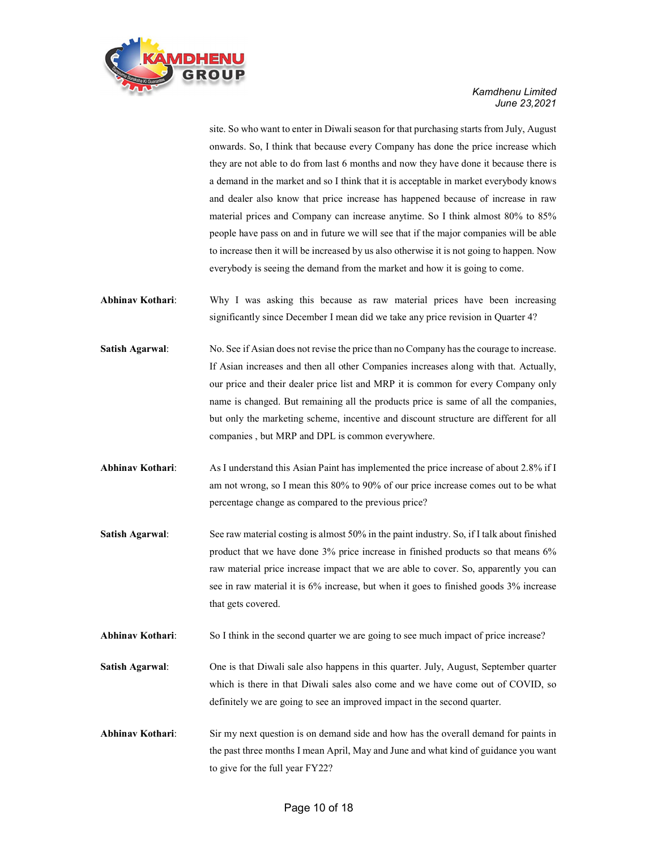

site. So who want to enter in Diwali season for that purchasing starts from July, August onwards. So, I think that because every Company has done the price increase which they are not able to do from last 6 months and now they have done it because there is a demand in the market and so I think that it is acceptable in market everybody knows and dealer also know that price increase has happened because of increase in raw material prices and Company can increase anytime. So I think almost 80% to 85% people have pass on and in future we will see that if the major companies will be able to increase then it will be increased by us also otherwise it is not going to happen. Now everybody is seeing the demand from the market and how it is going to come.

- Abhinav Kothari: Why I was asking this because as raw material prices have been increasing significantly since December I mean did we take any price revision in Quarter 4?
- Satish Agarwal: No. See if Asian does not revise the price than no Company has the courage to increase. If Asian increases and then all other Companies increases along with that. Actually, our price and their dealer price list and MRP it is common for every Company only name is changed. But remaining all the products price is same of all the companies, but only the marketing scheme, incentive and discount structure are different for all companies , but MRP and DPL is common everywhere.
- Abhinav Kothari: As I understand this Asian Paint has implemented the price increase of about 2.8% if I am not wrong, so I mean this 80% to 90% of our price increase comes out to be what percentage change as compared to the previous price?
- Satish Agarwal: See raw material costing is almost 50% in the paint industry. So, if I talk about finished product that we have done 3% price increase in finished products so that means 6% raw material price increase impact that we are able to cover. So, apparently you can see in raw material it is 6% increase, but when it goes to finished goods 3% increase that gets covered.
- Abhinav Kothari: So I think in the second quarter we are going to see much impact of price increase?
- Satish Agarwal: One is that Diwali sale also happens in this quarter. July, August, September quarter which is there in that Diwali sales also come and we have come out of COVID, so definitely we are going to see an improved impact in the second quarter.
- Abhinav Kothari: Sir my next question is on demand side and how has the overall demand for paints in the past three months I mean April, May and June and what kind of guidance you want to give for the full year FY22?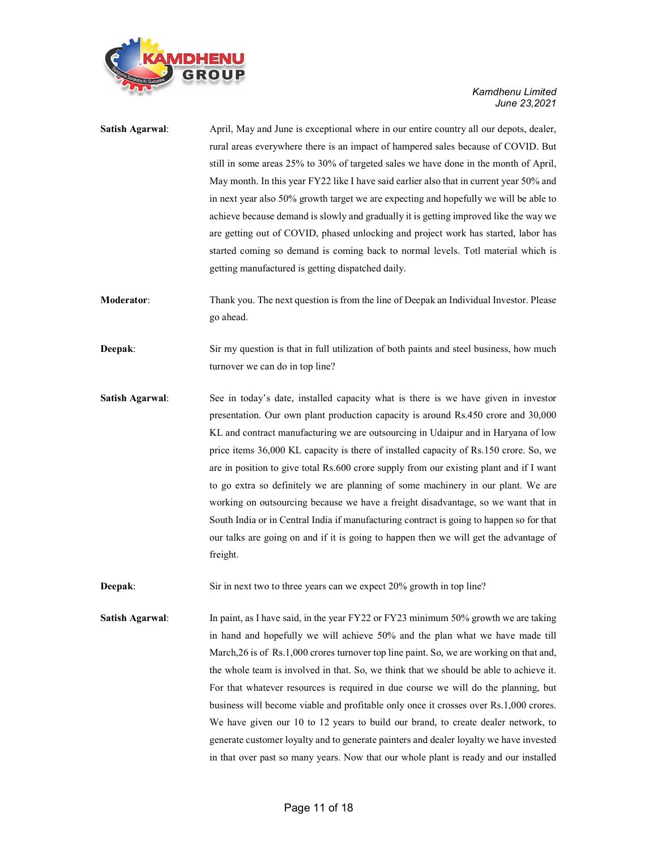

| <b>Satish Agarwal:</b> | April, May and June is exceptional where in our entire country all our depots, dealer,<br>rural areas everywhere there is an impact of hampered sales because of COVID. But<br>still in some areas 25% to 30% of targeted sales we have done in the month of April,<br>May month. In this year FY22 like I have said earlier also that in current year 50% and<br>in next year also 50% growth target we are expecting and hopefully we will be able to<br>achieve because demand is slowly and gradually it is getting improved like the way we<br>are getting out of COVID, phased unlocking and project work has started, labor has<br>started coming so demand is coming back to normal levels. Totl material which is<br>getting manufactured is getting dispatched daily.                                            |  |
|------------------------|----------------------------------------------------------------------------------------------------------------------------------------------------------------------------------------------------------------------------------------------------------------------------------------------------------------------------------------------------------------------------------------------------------------------------------------------------------------------------------------------------------------------------------------------------------------------------------------------------------------------------------------------------------------------------------------------------------------------------------------------------------------------------------------------------------------------------|--|
| Moderator:             | Thank you. The next question is from the line of Deepak an Individual Investor. Please<br>go ahead.                                                                                                                                                                                                                                                                                                                                                                                                                                                                                                                                                                                                                                                                                                                        |  |
| Deepak:                | Sir my question is that in full utilization of both paints and steel business, how much<br>turnover we can do in top line?                                                                                                                                                                                                                                                                                                                                                                                                                                                                                                                                                                                                                                                                                                 |  |
| <b>Satish Agarwal:</b> | See in today's date, installed capacity what is there is we have given in investor<br>presentation. Our own plant production capacity is around Rs.450 crore and 30,000<br>KL and contract manufacturing we are outsourcing in Udaipur and in Haryana of low<br>price items 36,000 KL capacity is there of installed capacity of Rs.150 crore. So, we<br>are in position to give total Rs.600 crore supply from our existing plant and if I want<br>to go extra so definitely we are planning of some machinery in our plant. We are<br>working on outsourcing because we have a freight disadvantage, so we want that in<br>South India or in Central India if manufacturing contract is going to happen so for that<br>our talks are going on and if it is going to happen then we will get the advantage of<br>freight. |  |
| Deepak:                | Sir in next two to three years can we expect 20% growth in top line?                                                                                                                                                                                                                                                                                                                                                                                                                                                                                                                                                                                                                                                                                                                                                       |  |

Satish Agarwal: In paint, as I have said, in the year FY22 or FY23 minimum 50% growth we are taking in hand and hopefully we will achieve 50% and the plan what we have made till March,26 is of Rs.1,000 crores turnover top line paint. So, we are working on that and, the whole team is involved in that. So, we think that we should be able to achieve it. For that whatever resources is required in due course we will do the planning, but business will become viable and profitable only once it crosses over Rs.1,000 crores. We have given our 10 to 12 years to build our brand, to create dealer network, to generate customer loyalty and to generate painters and dealer loyalty we have invested in that over past so many years. Now that our whole plant is ready and our installed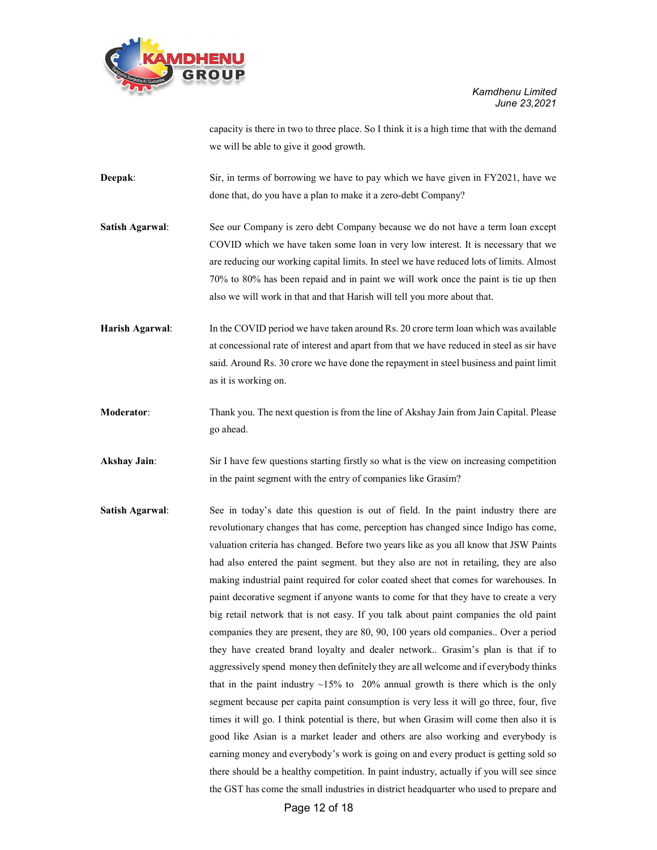

capacity is there in two to three place. So I think it is a high time that with the demand we will be able to give it good growth.

Deepak: Sir, in terms of borrowing we have to pay which we have given in FY2021, have we done that, do you have a plan to make it a zero-debt Company?

Satish Agarwal: See our Company is zero debt Company because we do not have a term loan except COVID which we have taken some loan in very low interest. It is necessary that we are reducing our working capital limits. In steel we have reduced lots of limits. Almost 70% to 80% has been repaid and in paint we will work once the paint is tie up then also we will work in that and that Harish will tell you more about that.

Harish Agarwal: In the COVID period we have taken around Rs. 20 crore term loan which was available at concessional rate of interest and apart from that we have reduced in steel as sir have said. Around Rs. 30 crore we have done the repayment in steel business and paint limit as it is working on.

Moderator: Thank you. The next question is from the line of Akshay Jain from Jain Capital. Please go ahead.

Akshay Jain: Sir I have few questions starting firstly so what is the view on increasing competition in the paint segment with the entry of companies like Grasim?

Satish Agarwal: See in today's date this question is out of field. In the paint industry there are revolutionary changes that has come, perception has changed since Indigo has come, valuation criteria has changed. Before two years like as you all know that JSW Paints had also entered the paint segment. but they also are not in retailing, they are also making industrial paint required for color coated sheet that comes for warehouses. In paint decorative segment if anyone wants to come for that they have to create a very big retail network that is not easy. If you talk about paint companies the old paint companies they are present, they are 80, 90, 100 years old companies.. Over a period they have created brand loyalty and dealer network.. Grasim's plan is that if to aggressively spend money then definitely they are all welcome and if everybody thinks that in the paint industry  $~15\%$  to 20% annual growth is there which is the only segment because per capita paint consumption is very less it will go three, four, five times it will go. I think potential is there, but when Grasim will come then also it is good like Asian is a market leader and others are also working and everybody is earning money and everybody's work is going on and every product is getting sold so there should be a healthy competition. In paint industry, actually if you will see since the GST has come the small industries in district headquarter who used to prepare and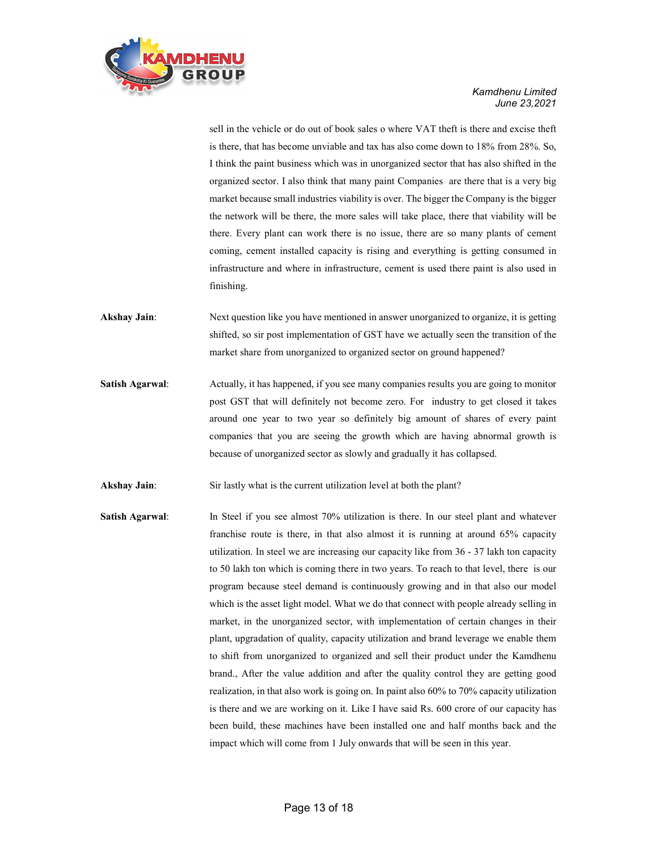

sell in the vehicle or do out of book sales o where VAT theft is there and excise theft is there, that has become unviable and tax has also come down to 18% from 28%. So, I think the paint business which was in unorganized sector that has also shifted in the organized sector. I also think that many paint Companies are there that is a very big market because small industries viability is over. The bigger the Company is the bigger the network will be there, the more sales will take place, there that viability will be there. Every plant can work there is no issue, there are so many plants of cement coming, cement installed capacity is rising and everything is getting consumed in infrastructure and where in infrastructure, cement is used there paint is also used in finishing.

- Akshay Jain: Next question like you have mentioned in answer unorganized to organize, it is getting shifted, so sir post implementation of GST have we actually seen the transition of the market share from unorganized to organized sector on ground happened?
- Satish Agarwal: Actually, it has happened, if you see many companies results you are going to monitor post GST that will definitely not become zero. For industry to get closed it takes around one year to two year so definitely big amount of shares of every paint companies that you are seeing the growth which are having abnormal growth is because of unorganized sector as slowly and gradually it has collapsed.

Akshay Jain: Sir lastly what is the current utilization level at both the plant?

Satish Agarwal: In Steel if you see almost 70% utilization is there. In our steel plant and whatever franchise route is there, in that also almost it is running at around 65% capacity utilization. In steel we are increasing our capacity like from 36 - 37 lakh ton capacity to 50 lakh ton which is coming there in two years. To reach to that level, there is our program because steel demand is continuously growing and in that also our model which is the asset light model. What we do that connect with people already selling in market, in the unorganized sector, with implementation of certain changes in their plant, upgradation of quality, capacity utilization and brand leverage we enable them to shift from unorganized to organized and sell their product under the Kamdhenu brand., After the value addition and after the quality control they are getting good realization, in that also work is going on. In paint also 60% to 70% capacity utilization is there and we are working on it. Like I have said Rs. 600 crore of our capacity has been build, these machines have been installed one and half months back and the impact which will come from 1 July onwards that will be seen in this year.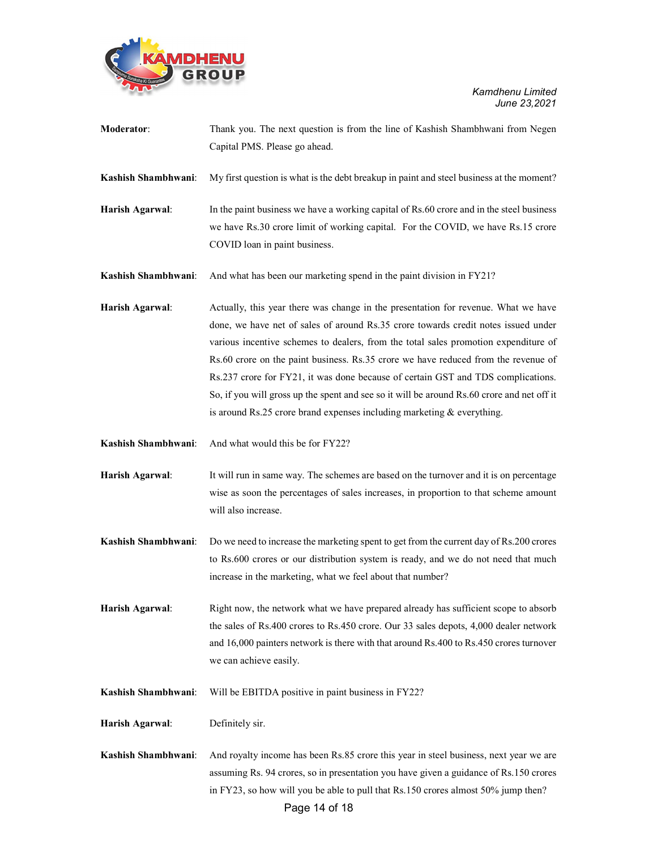

| Moderator:          | Thank you. The next question is from the line of Kashish Shambhwani from Negen<br>Capital PMS. Please go ahead.                                                                                                                                                                                                                                                                                                                                                                                                                                                                                                     |
|---------------------|---------------------------------------------------------------------------------------------------------------------------------------------------------------------------------------------------------------------------------------------------------------------------------------------------------------------------------------------------------------------------------------------------------------------------------------------------------------------------------------------------------------------------------------------------------------------------------------------------------------------|
| Kashish Shambhwani: | My first question is what is the debt breakup in paint and steel business at the moment?                                                                                                                                                                                                                                                                                                                                                                                                                                                                                                                            |
| Harish Agarwal:     | In the paint business we have a working capital of Rs.60 crore and in the steel business<br>we have Rs.30 crore limit of working capital. For the COVID, we have Rs.15 crore<br>COVID loan in paint business.                                                                                                                                                                                                                                                                                                                                                                                                       |
| Kashish Shambhwani: | And what has been our marketing spend in the paint division in FY21?                                                                                                                                                                                                                                                                                                                                                                                                                                                                                                                                                |
| Harish Agarwal:     | Actually, this year there was change in the presentation for revenue. What we have<br>done, we have net of sales of around Rs.35 crore towards credit notes issued under<br>various incentive schemes to dealers, from the total sales promotion expenditure of<br>Rs.60 crore on the paint business. Rs.35 crore we have reduced from the revenue of<br>Rs.237 crore for FY21, it was done because of certain GST and TDS complications.<br>So, if you will gross up the spent and see so it will be around Rs.60 crore and net off it<br>is around Rs.25 crore brand expenses including marketing $&$ everything. |
| Kashish Shambhwani: | And what would this be for FY22?                                                                                                                                                                                                                                                                                                                                                                                                                                                                                                                                                                                    |
| Harish Agarwal:     | It will run in same way. The schemes are based on the turnover and it is on percentage<br>wise as soon the percentages of sales increases, in proportion to that scheme amount<br>will also increase.                                                                                                                                                                                                                                                                                                                                                                                                               |
| Kashish Shambhwani: | Do we need to increase the marketing spent to get from the current day of Rs.200 crores<br>to Rs.600 crores or our distribution system is ready, and we do not need that much<br>increase in the marketing, what we feel about that number?                                                                                                                                                                                                                                                                                                                                                                         |
| Harish Agarwal:     | Right now, the network what we have prepared already has sufficient scope to absorb<br>the sales of Rs.400 crores to Rs.450 crore. Our 33 sales depots, 4,000 dealer network<br>and 16,000 painters network is there with that around Rs.400 to Rs.450 crores turnover<br>we can achieve easily.                                                                                                                                                                                                                                                                                                                    |
| Kashish Shambhwani: | Will be EBITDA positive in paint business in FY22?                                                                                                                                                                                                                                                                                                                                                                                                                                                                                                                                                                  |
| Harish Agarwal:     | Definitely sir.                                                                                                                                                                                                                                                                                                                                                                                                                                                                                                                                                                                                     |
| Kashish Shambhwani: | And royalty income has been Rs.85 crore this year in steel business, next year we are<br>assuming Rs. 94 crores, so in presentation you have given a guidance of Rs.150 crores<br>in FY23, so how will you be able to pull that Rs.150 crores almost 50% jump then?                                                                                                                                                                                                                                                                                                                                                 |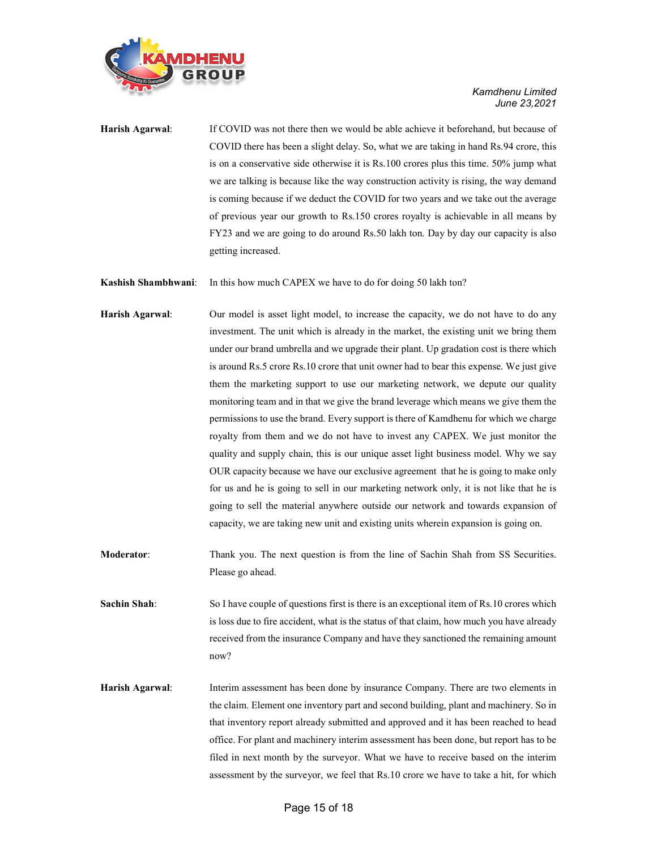

Harish Agarwal: If COVID was not there then we would be able achieve it beforehand, but because of COVID there has been a slight delay. So, what we are taking in hand Rs.94 crore, this is on a conservative side otherwise it is Rs.100 crores plus this time. 50% jump what we are talking is because like the way construction activity is rising, the way demand is coming because if we deduct the COVID for two years and we take out the average of previous year our growth to Rs.150 crores royalty is achievable in all means by FY23 and we are going to do around Rs.50 lakh ton. Day by day our capacity is also getting increased.

Kashish Shambhwani: In this how much CAPEX we have to do for doing 50 lakh ton?

- Harish Agarwal: Our model is asset light model, to increase the capacity, we do not have to do any investment. The unit which is already in the market, the existing unit we bring them under our brand umbrella and we upgrade their plant. Up gradation cost is there which is around Rs.5 crore Rs.10 crore that unit owner had to bear this expense. We just give them the marketing support to use our marketing network, we depute our quality monitoring team and in that we give the brand leverage which means we give them the permissions to use the brand. Every support is there of Kamdhenu for which we charge royalty from them and we do not have to invest any CAPEX. We just monitor the quality and supply chain, this is our unique asset light business model. Why we say OUR capacity because we have our exclusive agreement that he is going to make only for us and he is going to sell in our marketing network only, it is not like that he is going to sell the material anywhere outside our network and towards expansion of capacity, we are taking new unit and existing units wherein expansion is going on.
- Moderator: Thank you. The next question is from the line of Sachin Shah from SS Securities. Please go ahead.
- Sachin Shah: So I have couple of questions first is there is an exceptional item of Rs.10 crores which is loss due to fire accident, what is the status of that claim, how much you have already received from the insurance Company and have they sanctioned the remaining amount now?
- Harish Agarwal: Interim assessment has been done by insurance Company. There are two elements in the claim. Element one inventory part and second building, plant and machinery. So in that inventory report already submitted and approved and it has been reached to head office. For plant and machinery interim assessment has been done, but report has to be filed in next month by the surveyor. What we have to receive based on the interim assessment by the surveyor, we feel that Rs.10 crore we have to take a hit, for which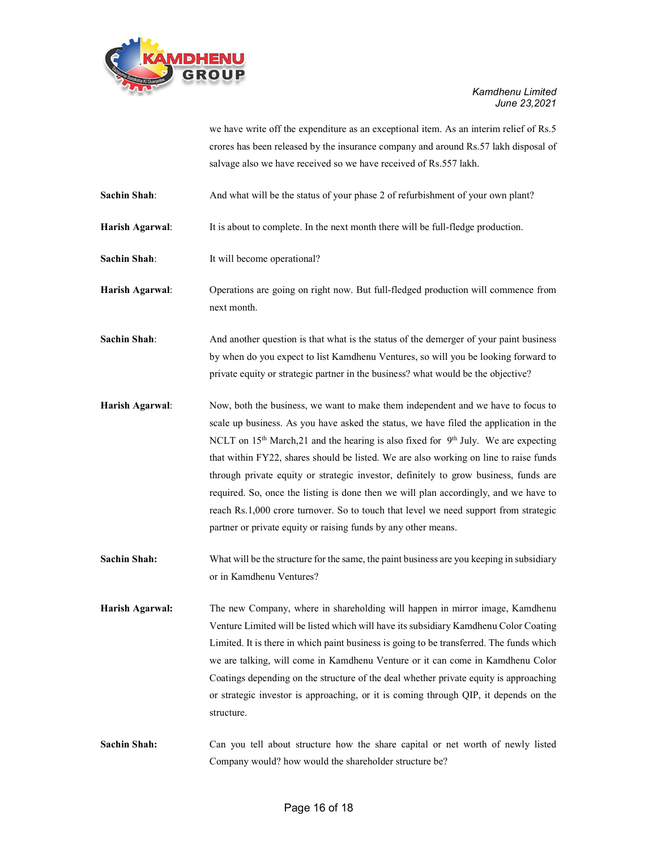

we have write off the expenditure as an exceptional item. As an interim relief of Rs.5 crores has been released by the insurance company and around Rs.57 lakh disposal of salvage also we have received so we have received of Rs.557 lakh.

Sachin Shah: And what will be the status of your phase 2 of refurbishment of your own plant?

Harish Agarwal: It is about to complete. In the next month there will be full-fledge production.

Sachin Shah: It will become operational?

Harish Agarwal: Operations are going on right now. But full-fledged production will commence from next month.

Sachin Shah: And another question is that what is the status of the demerger of your paint business by when do you expect to list Kamdhenu Ventures, so will you be looking forward to private equity or strategic partner in the business? what would be the objective?

Harish Agarwal: Now, both the business, we want to make them independent and we have to focus to scale up business. As you have asked the status, we have filed the application in the NCLT on  $15<sup>th</sup>$  March, 21 and the hearing is also fixed for  $9<sup>th</sup>$  July. We are expecting that within FY22, shares should be listed. We are also working on line to raise funds through private equity or strategic investor, definitely to grow business, funds are required. So, once the listing is done then we will plan accordingly, and we have to reach Rs.1,000 crore turnover. So to touch that level we need support from strategic partner or private equity or raising funds by any other means.

Sachin Shah: What will be the structure for the same, the paint business are you keeping in subsidiary or in Kamdhenu Ventures?

Harish Agarwal: The new Company, where in shareholding will happen in mirror image, Kamdhenu Venture Limited will be listed which will have its subsidiary Kamdhenu Color Coating Limited. It is there in which paint business is going to be transferred. The funds which we are talking, will come in Kamdhenu Venture or it can come in Kamdhenu Color Coatings depending on the structure of the deal whether private equity is approaching or strategic investor is approaching, or it is coming through QIP, it depends on the structure.

Sachin Shah: Can you tell about structure how the share capital or net worth of newly listed Company would? how would the shareholder structure be?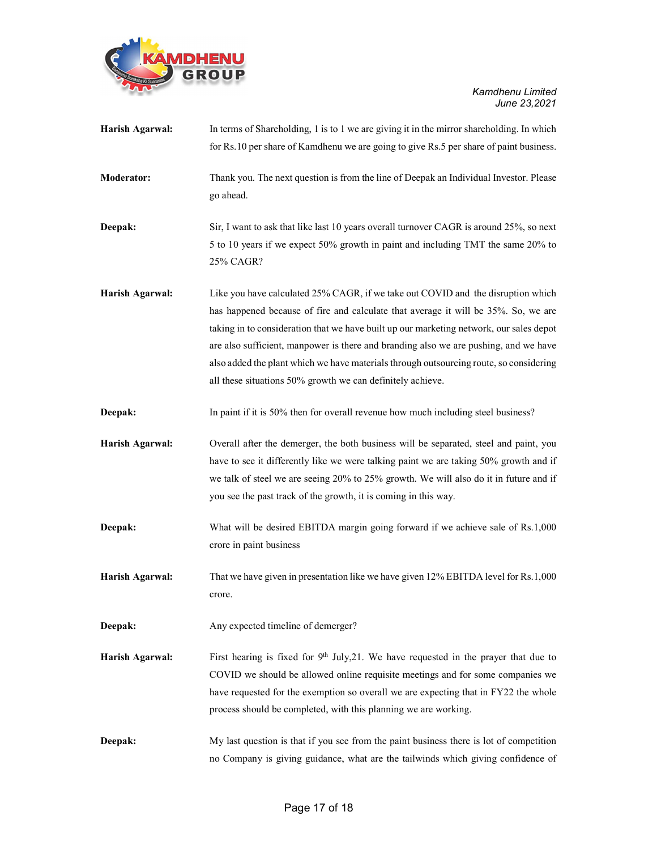

| Harish Agarwal:   | In terms of Shareholding, 1 is to 1 we are giving it in the mirror shareholding. In which                  |
|-------------------|------------------------------------------------------------------------------------------------------------|
|                   | for Rs.10 per share of Kamdhenu we are going to give Rs.5 per share of paint business.                     |
| <b>Moderator:</b> | Thank you. The next question is from the line of Deepak an Individual Investor. Please<br>go ahead.        |
| Deepak:           | Sir, I want to ask that like last 10 years overall turnover CAGR is around 25%, so next                    |
|                   | 5 to 10 years if we expect 50% growth in paint and including TMT the same 20% to<br>25% CAGR?              |
| Harish Agarwal:   | Like you have calculated 25% CAGR, if we take out COVID and the disruption which                           |
|                   | has happened because of fire and calculate that average it will be 35%. So, we are                         |
|                   | taking in to consideration that we have built up our marketing network, our sales depot                    |
|                   | are also sufficient, manpower is there and branding also we are pushing, and we have                       |
|                   | also added the plant which we have materials through outsourcing route, so considering                     |
|                   | all these situations 50% growth we can definitely achieve.                                                 |
| Deepak:           | In paint if it is 50% then for overall revenue how much including steel business?                          |
| Harish Agarwal:   | Overall after the demerger, the both business will be separated, steel and paint, you                      |
|                   | have to see it differently like we were talking paint we are taking 50% growth and if                      |
|                   | we talk of steel we are seeing 20% to 25% growth. We will also do it in future and if                      |
|                   | you see the past track of the growth, it is coming in this way.                                            |
| Deepak:           | What will be desired EBITDA margin going forward if we achieve sale of Rs.1,000<br>crore in paint business |
| Harish Agarwal:   | That we have given in presentation like we have given 12% EBITDA level for Rs.1,000<br>crore.              |
| Deepak:           | Any expected timeline of demerger?                                                                         |
| Harish Agarwal:   | First hearing is fixed for $9th$ July, 21. We have requested in the prayer that due to                     |
|                   | COVID we should be allowed online requisite meetings and for some companies we                             |
|                   | have requested for the exemption so overall we are expecting that in FY22 the whole                        |
|                   | process should be completed, with this planning we are working.                                            |
| Deepak:           | My last question is that if you see from the paint business there is lot of competition                    |
|                   | no Company is giving guidance, what are the tailwinds which giving confidence of                           |